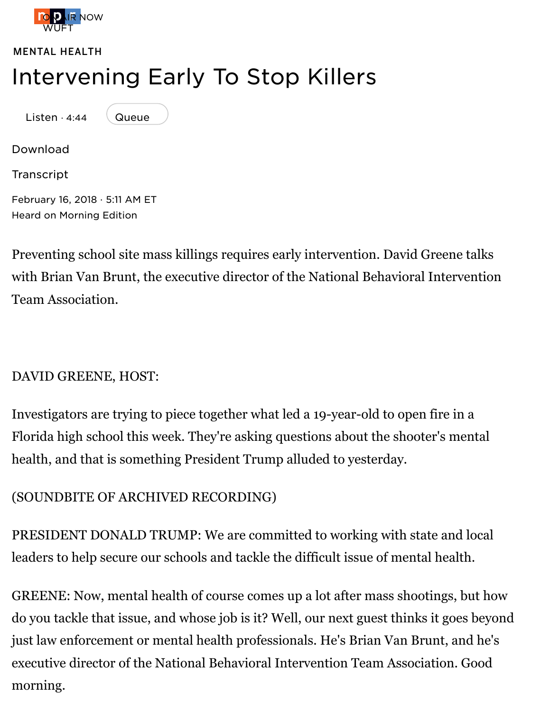L[isten](https://www.npr.org/) · 4:44



[Download](https://www.npr.org/sections/mental-health/)

**Transcript** 

February 16, 2018 · 5:11 AM ET Heard on Morning Edition

[Preventing](https://ondemand.npr.org/anon.npr-mp3/npr/me/2018/02/20180216_me_intervening_early_to_stop_killers.mp3?orgId=1&topicId=1029&d=284&p=3&story=586315515&siteplayer=true&dl=1) school site mass killings requires early intervention. David Greene ta [with Brian](https://www.npr.org/templates/transcript/transcript.php?storyId=586315515) Van Brunt, the executive director of the National Behavioral Interver Team A[ssociation.](https://www.npr.org/programs/morning-edition/2018/02/16/586315327)

## DAVID GREENE, HOST:

Investigators are trying to piece together what led a 19-year-old to open fire in a Florida high school this week. They're asking questions about the shooter's men health, and that is something President Trump alluded to yesterday.

## (SOUNDBITE OF ARCHIVED RECORDING)

PRESIDENT DONALD TRUMP: We are committed to working with state and local leaders to help secure our schools and tackle the difficult issue of mental health.

GREENE: Now, mental health of course comes up a lot after mass shootings, but do you tackle that issue, and whose job is it? Well, our next guest thinks it goes b just law enforcement or mental health professionals. He's Brian Van Brunt, and executive director of the National Behavioral Intervention Team Association. Good morning.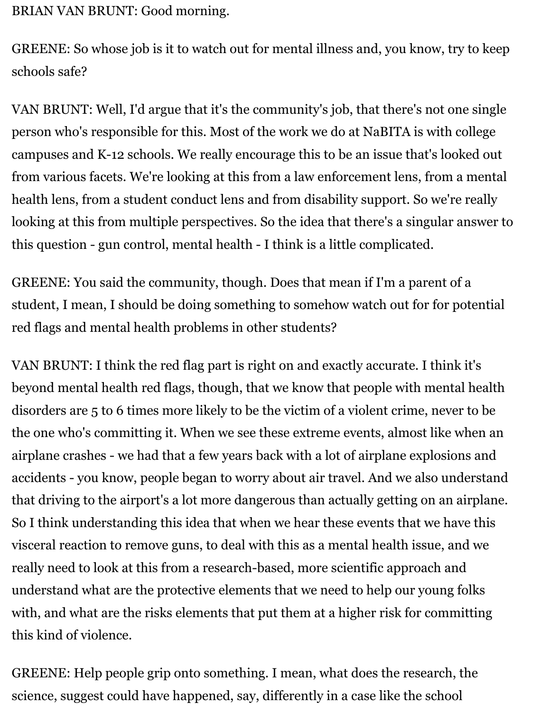BRIAN VAN BRUNT: Good morning.

GREENE: So whose job is it to watch out for mental illness and, you know, try to keep schools safe?

VAN BRUNT: Well, I'd argue that it's the community's job, that there's not one single person who's responsible for this. Most of the work we do at NaBITA is with college campuses and K-12 schools. We really encourage this to be an issue that's looked out from various facets. We're looking at this from a law enforcement lens, from a mental health lens, from a student conduct lens and from disability support. So we're really looking at this from multiple perspectives. So the idea that there's a singular answer to this question - gun control, mental health - I think is a little complicated.

GREENE: You said the community, though. Does that mean if I'm a parent of a student, I mean, I should be doing something to somehow watch out for for potential red flags and mental health problems in other students?

VAN BRUNT: I think the red flag part is right on and exactly accurate. I think it's beyond mental health red flags, though, that we know that people with mental health disorders are 5 to 6 times more likely to be the victim of a violent crime, never to be the one who's committing it. When we see these extreme events, almost like when an airplane crashes - we had that a few years back with a lot of airplane explosions and accidents - you know, people began to worry about air travel. And we also understand that driving to the airport's a lot more dangerous than actually getting on an airplane. So I think understanding this idea that when we hear these events that we have this visceral reaction to remove guns, to deal with this as a mental health issue, and we really need to look at this from a research-based, more scientific approach and understand what are the protective elements that we need to help our young folks with, and what are the risks elements that put them at a higher risk for committing this kind of violence.

GREENE: Help people grip onto something. I mean, what does the research, the science, suggest could have happened, say, differently in a case like the school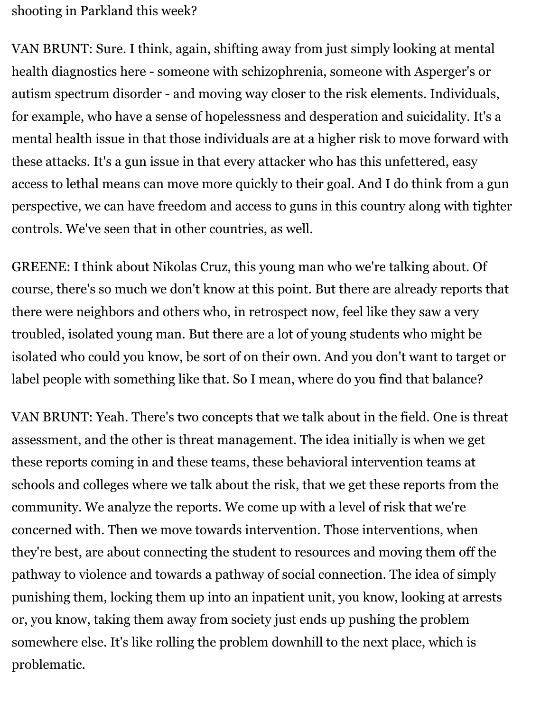shooting in Parkland this week?

VAN BRUNT: Sure. I think, again, shifting away from just simply looking at mental health diagnostics here - someone with schizophrenia, someone with Asperger's or autism spectrum disorder - and moving way closer to the risk elements. Individuals, for example, who have a sense of hopelessness and desperation and suicidality. It's a mental health issue in that those individuals are at a higher risk to move forward with these attacks. It's a gun issue in that every attacker who has this unfettered, easy access to lethal means can move more quickly to their goal. And I do think from a gun perspective, we can have freedom and access to guns in this country along with tighter controls. We've seen that in other countries, as well.

GREENE: I think about Nikolas Cruz, this young man who we're talking about. Of course, there's so much we don't know at this point. But there are already reports that there were neighbors and others who, in retrospect now, feel like they saw a very troubled, isolated young man. But there are a lot of young students who might be isolated who could you know, be sort of on their own. And you don't want to target or label people with something like that. So I mean, where do you find that balance?

VAN BRUNT: Yeah. There's two concepts that we talk about in the field. One is threat assessment, and the other is threat management. The idea initially is when we get these reports coming in and these teams, these behavioral intervention teams at schools and colleges where we talk about the risk, that we get these reports from the community. We analyze the reports. We come up with a level of risk that we're concerned with. Then we move towards intervention. Those interventions, when they're best, are about connecting the student to resources and moving them off the pathway to violence and towards a pathway of social connection. The idea of simply punishing them, locking them up into an inpatient unit, you know, looking at arrests or, you know, taking them away from society just ends up pushing the problem somewhere else. It's like rolling the problem downhill to the next place, which is problematic.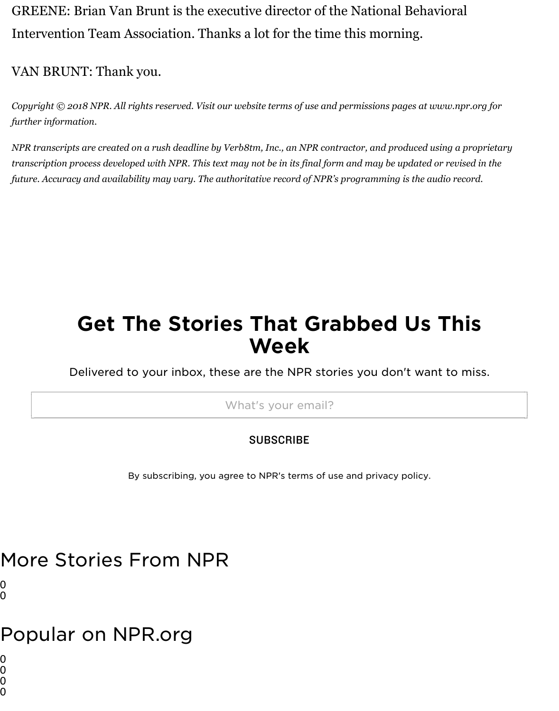*Copyright © 2018 NPR. All rights reserved. Visit our website terms of use and permissions pages at www.npr.org forms further information.*

*NPR transcripts are created on a rush deadline by Verb8tm, Inc., an NPR contractor, and produced using a prodle transcription process developed with NPR. This text may not be in its final form and may be updated or revised future. Accuracy and availability may vary. The authoritative record of NPR's programming is the audio recor* 

# Get The Stories That Grabbed Us This Week

Delivered to your inbox, these are the NPR stories you don't want to mi

What's your email?

#### **SUBSCRIBE**

By subscribing, you agree to NPR's terms of use and privacy policy.

# More Stories From NPR

0 0

## Popular on NPR.org

0

0

0 0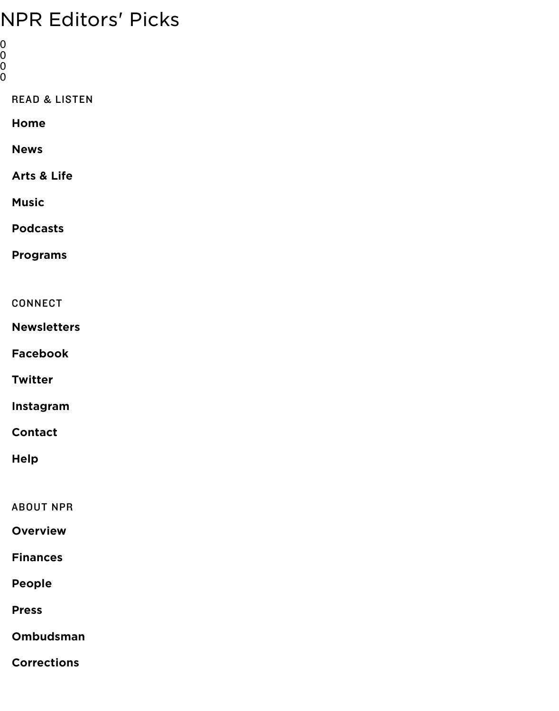| <b>READ &amp; LISTEN</b> |
|--------------------------|
| Home                     |
| <b>News</b>              |
| Arts & Life              |
| <b>Music</b>             |
| <b>Podcasts</b>          |
| <b>Programs</b>          |
|                          |
| <b>CONNECT</b>           |
| <b>Newsletters</b>       |
| <b>Facebook</b>          |
| <b>Twitter</b>           |
| Instagram                |
| <b>Contact</b>           |
| <b>Help</b>              |
|                          |
| <b>ABOUT NPR</b>         |
| <b>Overview</b>          |
| <b>Finances</b>          |
| <b>People</b>            |
| <b>Press</b>             |
| <b>Ombudsman</b>         |
|                          |

**Corrections**